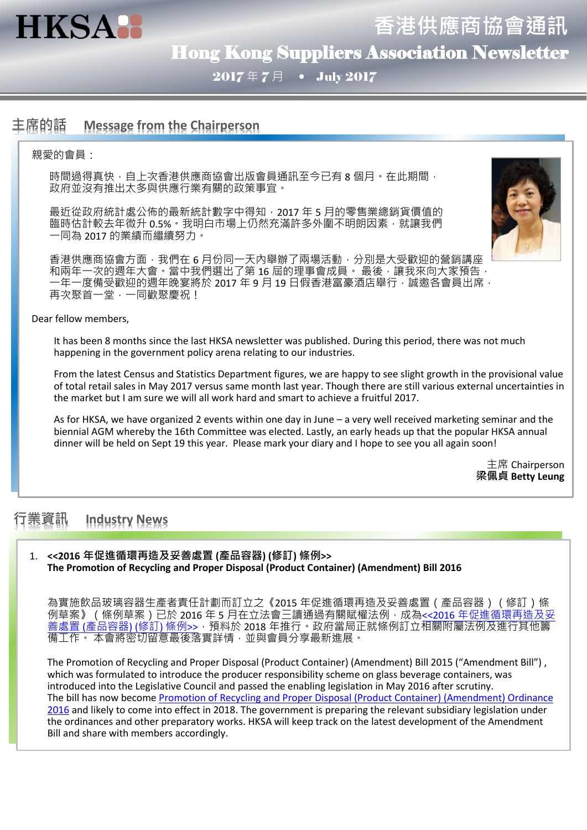

**香港供應商協會通訊** Hong Kong Suppliers Association Newsletter

 $2017 \n\in 7\n\in$  July 2017

# **主席的話 Message from the Chairperson**

### 親愛的會員:

時間過得真快,自上次香港供應商協會出版會員通訊至今已有 8 個月。在此期間, 政府並沒有推出太多與供應行業有關的政策事宜。

最近從政府統計處公佈的最新統計數字中得知,2017 年 5 月的零售業總銷貨價值的 臨時估計較去年微升 0.5%。我明白市場上仍然充滿許多外圍不明朗因素,就讓我們 一同為 2017 的業績而繼續努力。



香港供應商協會方面,我們在 6 月份同一天內舉辦了兩場活動,分別是大受歡迎的營銷講座 和兩年一次的週年大會。當中我們選出了第 16 屆的理事會成員。 最後,讓我來向大家預告, 一年一度備受歡迎的週年晚宴將於 2017 年 9 月 19 日假香港富豪酒店舉行,誠邀各會員出席, 再次聚首一堂,一同歡聚慶祝!

### Dear fellow members,

It has been 8 months since the last HKSA newsletter was published. During this period, there was not much happening in the government policy arena relating to our industries.

From the latest Census and Statistics Department figures, we are happy to see slight growth in the provisional value of total retail sales in May 2017 versus same month last year. Though there are still various external uncertainties in the market but I am sure we will all work hard and smart to achieve a fruitful 2017.

As for HKSA, we have organized 2 events within one day in June – a very well received marketing seminar and the biennial AGM whereby the 16th Committee was elected. Lastly, an early heads up that the popular HKSA annual dinner will be held on Sept 19 this year. Please mark your diary and I hope to see you all again soon!

> 主席 Chairperson **梁佩貞 Betty Leung**

# **行業資訊 Industry News**

### 1. **<<2016 年促進循環再造及妥善處置 (產品容器) (修訂) 條例>> The Promotion of Recycling and Proper Disposal (Product Container) (Amendment) Bill 2016**

為實施飲品玻璃容器生產者責任計劃而訂立之《2015 年促進循環再造及妥善處置 (產品容器) (修訂)條 例草案》(條例草案)已於 2016 年 5 月在立法會三讀通過有關賦權法例, 成為<<2016 [年促進循環再造及妥](http://www.legco.gov.hk/yr15-16/chinese/ord/ord013-2016-c.pdf) 善處置 ([產品容器](http://www.legco.gov.hk/yr15-16/chinese/ord/ord013-2016-c.pdf)) (修訂) 條例>> · 預料於 2018 年推行。政府當局正就條例訂立相關附屬法例及進行其他籌 備工作。 本會將密切留意最後落實詳情,並與會員分享最新進展。

The Promotion of Recycling and Proper Disposal (Product Container) (Amendment) Bill 2015 ("Amendment Bill") , which was formulated to introduce the producer responsibility scheme on glass beverage containers, was introduced into the Legislative Council and passed the enabling legislation in May 2016 after scrutiny. The bill has now become [Promotion of Recycling and Proper Disposal \(Product Container\) \(Amendment\) Ordinance](http://www.legco.gov.hk/yr15-16/english/ord/ord013-2016-e.pdf)  [2016](http://www.legco.gov.hk/yr15-16/english/ord/ord013-2016-e.pdf) and likely to come into effect in 2018. The government is preparing the relevant subsidiary legislation under the ordinances and other preparatory works. HKSA will keep track on the latest development of the Amendment Bill and share with members accordingly.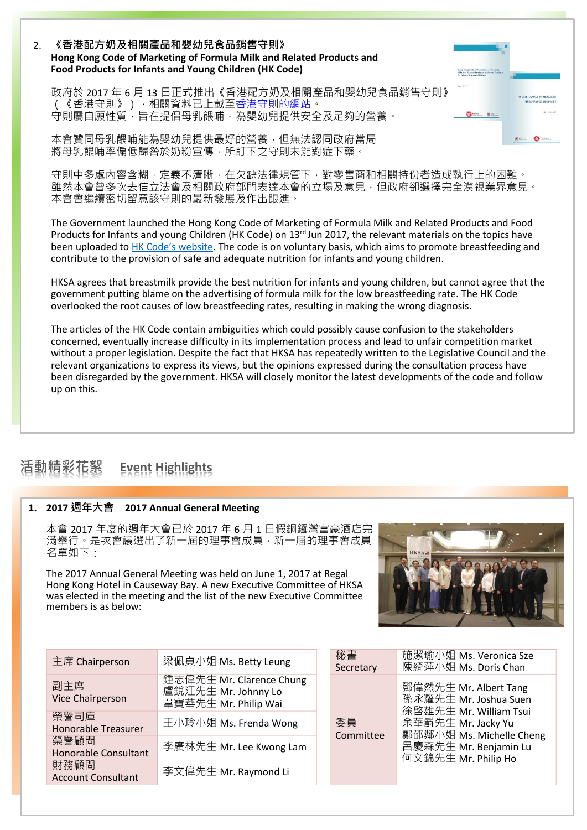### 2. **《香港配方奶及相關產品和嬰幼兒食品銷售守則》 Hong Kong Code of Marketing of Formula Milk and Related Products and Food Products for Infants and Young Children (HK Code)**

政府於 2017 年 6 月 13 日正式推出《香港配方奶及相關產品和嬰幼兒食品銷售守則》 (《香港守則》), 相關資料已上載[至香港守則的網站。](http://hkcode.gov.hk/tc/index.html) 。<br>守則屬自願性質,旨在提倡母乳餵哺,為嬰幼兒提供安全及足夠的營養。

本會贊同母乳餵哺能為嬰幼兒提供最好的營養,但無法認同政府當局 將母乳餵哺率偏低歸咎於奶粉宣傳,所訂下之守則未能對症下藥。

守則中多處內容含糊,定義不清晰,在欠缺法律規管下,對零售商和相關持份者造成執行上的困難。 雖然本會曾多次去信立法會及相關政府部門表達本會的立場及意見,但政府卻選擇完全漠視業界意見。 本會會繼續密切留意該守則的最新發展及作出跟進。

The Government launched the Hong Kong Code of Marketing of Formula Milk and Related Products and Food Products for Infants and young Children (HK Code) on 13<sup>rd</sup> Jun 2017, the relevant materials on the topics have been uploaded to [HK Code's website](http://hkcode.gov.hk/en/index.html). The code is on voluntary basis, which aims to promote breastfeeding and contribute to the provision of safe and adequate nutrition for infants and young children.

HKSA agrees that breastmilk provide the best nutrition for infants and young children, but cannot agree that the government putting blame on the advertising of formula milk for the low breastfeeding rate. The HK Code overlooked the root causes of low breastfeeding rates, resulting in making the wrong diagnosis.

The articles of the HK Code contain ambiguities which could possibly cause confusion to the stakeholders concerned, eventually increase difficulty in its implementation process and lead to unfair competition market without a proper legislation. Despite the fact that HKSA has repeatedly written to the Legislative Council and the relevant organizations to express its views, but the opinions expressed during the consultation process have been disregarded by the government. HKSA will closely monitor the latest developments of the code and follow up on this.

# **活動精彩花絮 Event Highlights**

## **1. 2017 週年大會 2017 Annual General Meeting**

本會 2017 年度的週年大會已於 2017 年 6 月 1 日假銅鑼灣富豪酒店完 滿舉行。是次會議選出了新一屆的理事會成員,新一屆的理事會成員 名單如下:

The 2017 Annual General Meeting was held on June 1, 2017 at Regal Hong Kong Hotel in Causeway Bay. A new Executive Committee of HKSA was elected in the meeting and the list of the new Executive Committee members is as below:



 $\bullet$ 

 $\bullet$ 

| 主席 Chairperson                      | 梁佩貞小姐 Ms. Betty Leung                                                   | 秘書<br>Secre |
|-------------------------------------|-------------------------------------------------------------------------|-------------|
| 副主席<br>Vice Chairperson             | 鍾志偉先生 Mr. Clarence Chung<br>盧銳江先生 Mr. Johnny Lo<br>韋寶華先生 Mr. Philip Wai |             |
| 榮譽司庫<br><b>Honorable Treasurer</b>  | 王小玲小姐 Ms. Frenda Wong                                                   | 委員          |
| 榮譽顧問<br><b>Honorable Consultant</b> | 李廣林先生 Mr. Lee Kwong Lam                                                 | Com         |
| 財務顧問<br><b>Account Consultant</b>   | 李文偉先生 Mr. Raymond Li                                                    |             |

| 秘書              | 施潔瑜小姐 Ms. Veronica Sze                                                                                                                                                     |
|-----------------|----------------------------------------------------------------------------------------------------------------------------------------------------------------------------|
| Secretary       | 陳綺萍小姐 Ms. Doris Chan                                                                                                                                                       |
| 委員<br>Committee | 鄧偉然先生 Mr. Albert Tang<br>孫永耀先生 Mr. Joshua Suen<br>徐啓雄先生 Mr. William Tsui<br>余華爵先生 Mr. Jacky Yu<br>鄭邵鄰小姐 Ms. Michelle Cheng<br>呂慶森先生 Mr. Benjamin Lu<br>何文錦先生 Mr. Philip Ho |